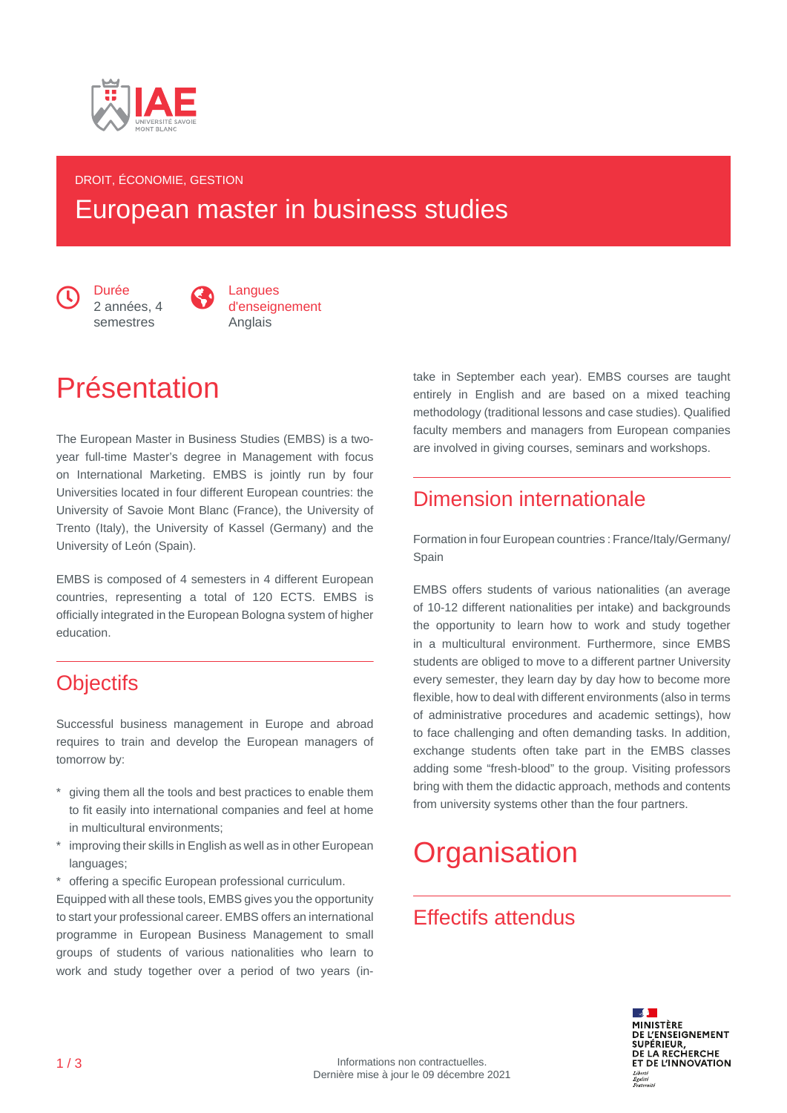

#### DROIT, ÉCONOMIE, GESTION

# European master in business studies

 $\bigodot$  Durée<br>2 années, 4 semestres



# Présentation

The European Master in Business Studies (EMBS) is a twoyear full-time Master's degree in Management with focus on International Marketing. EMBS is jointly run by four Universities located in four different European countries: the University of Savoie Mont Blanc (France), the University of Trento (Italy), the University of Kassel (Germany) and the University of León (Spain).

EMBS is composed of 4 semesters in 4 different European countries, representing a total of 120 ECTS. EMBS is officially integrated in the European Bologna system of higher education.

## **Objectifs**

Successful business management in Europe and abroad requires to train and develop the European managers of tomorrow by:

- \* giving them all the tools and best practices to enable them to fit easily into international companies and feel at home in multicultural environments;
- improving their skills in English as well as in other European languages;
- \* offering a specific European professional curriculum.

Equipped with all these tools, EMBS gives you the opportunity to start your professional career. EMBS offers an international programme in European Business Management to small groups of students of various nationalities who learn to work and study together over a period of two years (intake in September each year). EMBS courses are taught entirely in English and are based on a mixed teaching methodology (traditional lessons and case studies). Qualified faculty members and managers from European companies are involved in giving courses, seminars and workshops.

### Dimension internationale

Formation in four European countries : France/Italy/Germany/ Spain

EMBS offers students of various nationalities (an average of 10-12 different nationalities per intake) and backgrounds the opportunity to learn how to work and study together in a multicultural environment. Furthermore, since EMBS students are obliged to move to a different partner University every semester, they learn day by day how to become more flexible, how to deal with different environments (also in terms of administrative procedures and academic settings), how to face challenging and often demanding tasks. In addition, exchange students often take part in the EMBS classes adding some "fresh-blood" to the group. Visiting professors bring with them the didactic approach, methods and contents from university systems other than the four partners.

# **Organisation**

## Effectifs attendus

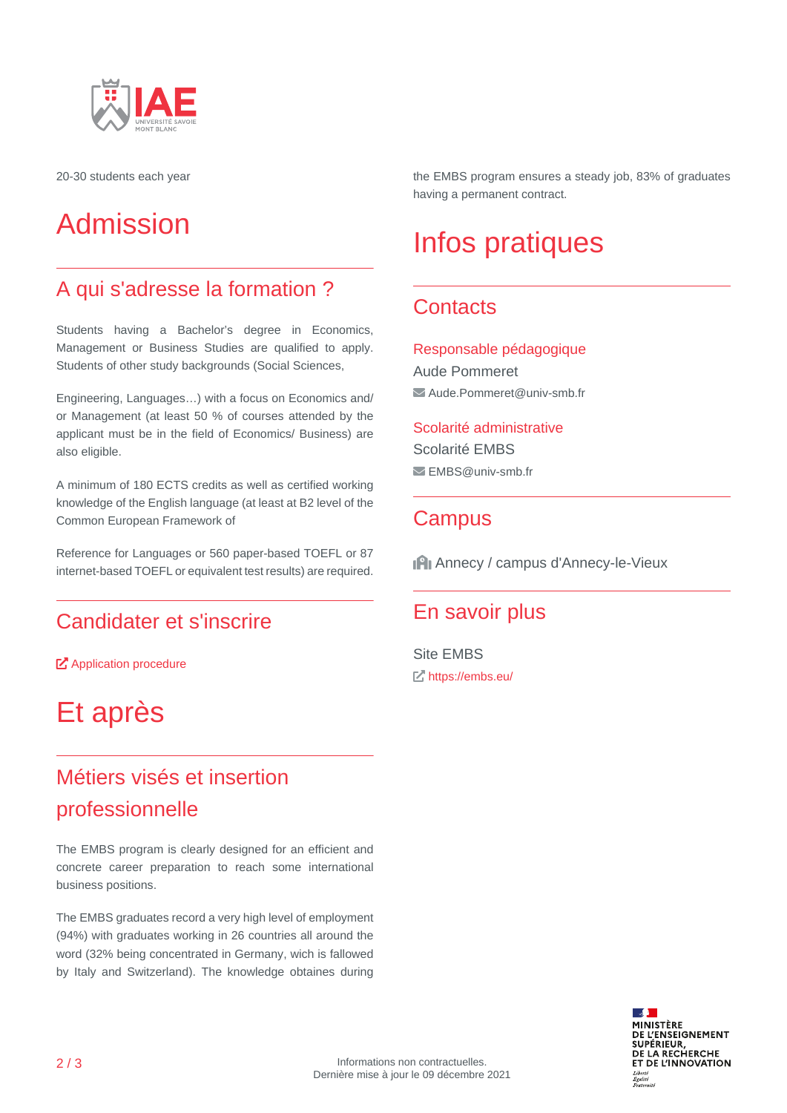

20-30 students each year

# Admission

## A qui s'adresse la formation ?

Students having a Bachelor's degree in Economics, Management or Business Studies are qualified to apply. Students of other study backgrounds (Social Sciences,

Engineering, Languages…) with a focus on Economics and/ or Management (at least 50 % of courses attended by the applicant must be in the field of Economics/ Business) are also eligible.

A minimum of 180 ECTS credits as well as certified working knowledge of the English language (at least at B2 level of the Common European Framework of

Reference for Languages or 560 paper-based TOEFL or 87 internet-based TOEFL or equivalent test results) are required.

## Candidater et s'inscrire

**T** [Application procedure](https://embs.eu/apply/application-procedure/)

# Et après

# Métiers visés et insertion professionnelle

The EMBS program is clearly designed for an efficient and concrete career preparation to reach some international business positions.

The EMBS graduates record a very high level of employment (94%) with graduates working in 26 countries all around the word (32% being concentrated in Germany, wich is fallowed by Italy and Switzerland). The knowledge obtaines during

the EMBS program ensures a steady job, 83% of graduates having a permanent contract.

# Infos pratiques

## **Contacts**

Responsable pédagogique Aude Pommeret  $\blacktriangleright$  Aude.Pommeret@univ-smb.fr

Scolarité administrative Scolarité EMBS EMBS@univ-smb.fr

### **Campus**

Annecy / campus d'Annecy-le-Vieux

#### En savoir plus

Site EMBS <https://embs.eu/>